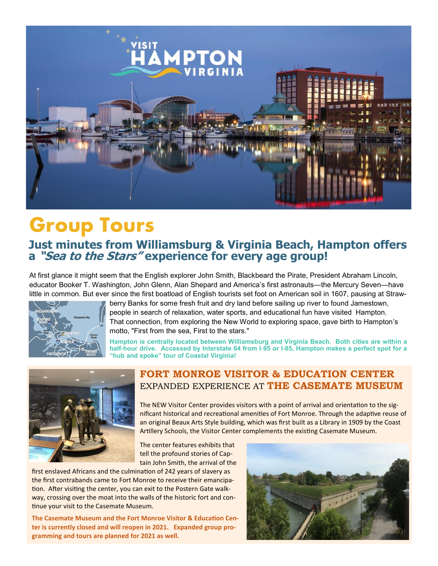

# **Group Tours**

## **Just minutes from Williamsburg & Virginia Beach, Hampton offers a "Sea to the Stars" experience for every age group!**

At first glance it might seem that the English explorer John Smith, Blackbeard the Pirate, President Abraham Lincoln, educator Booker T. Washington, John Glenn, Alan Shepard and America's first astronauts—the Mercury Seven—have little in common. But ever since the first boatload of English tourists set foot on American soil in 1607, pausing at Straw-



berry Banks for some fresh fruit and dry land before sailing up river to found Jamestown, people in search of relaxation, water sports, and educational fun have visited Hampton. That connection, from exploring the New World to exploring space, gave birth to Hampton's motto, "First from the sea, First to the stars."

**Hampton is centrally located between Williamsburg and Virginia Beach. Both cities are within a half-hour drive. Accessed by Interstate 64 from I-95 or I-85, Hampton makes a perfect spot for a "hub and spoke" tour of Coastal Virginia!** 



### **FORT MONROE VISITOR & EDUCATION CENTER** EXPANDED EXPERIENCE AT **THE CASEMATE MUSEUM**

The NEW Visitor Center provides visitors with a point of arrival and orientation to the significant historical and recreational amenities of Fort Monroe. Through the adaptive reuse of an original Beaux Arts Style building, which was first built as a Library in 1909 by the Coast Artillery Schools, the Visitor Center complements the existing Casemate Museum.

The center features exhibits that tell the profound stories of Captain John Smith, the arrival of the

first enslaved Africans and the culmination of 242 years of slavery as the first contrabands came to Fort Monroe to receive their emancipation. After visiting the center, you can exit to the Postern Gate walkway, crossing over the moat into the walls of the historic fort and continue your visit to the Casemate Museum.

**The Casemate Museum and the Fort Monroe Visitor & Education Center is currently closed and will reopen in 2021. Expanded group programming and tours are planned for 2021 as well.**

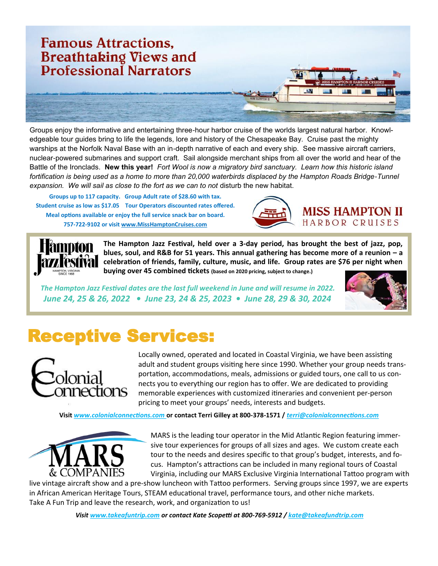

Groups enjoy the informative and entertaining three-hour harbor cruise of the worlds largest natural harbor. Knowledgeable tour guides bring to life the legends, lore and history of the Chesapeake Bay. Cruise past the mighty warships at the Norfolk Naval Base with an in-depth narrative of each and every ship. See massive aircraft carriers, nuclear-powered submarines and support craft. Sail alongside merchant ships from all over the world and hear of the Battle of the Ironclads. **New this year!** *Fort Wool is now a migratory bird sanctuary. Learn how this historic island fortification is being used as a home to more than 20,000 waterbirds displaced by the Hampton Roads Bridge-Tunnel*  expansion. We will sail as close to the fort as we can to not disturb the new habitat.

**Groups up to 117 capacity. Group Adult rate of \$28.60 with tax. Student cruise as low as \$17.05 Tour Operators discounted rates offered. Meal options available or enjoy the full service snack bar on board. 757-722-9102 or visit www.MissHamptonCruises.com**





**The Hampton Jazz Festival, held over a 3-day period, has brought the best of jazz, pop, blues, soul, and R&B for 51 years. This annual gathering has become more of a reunion – a celebration of friends, family, culture, music, and life. Group rates are \$76 per night when buying over 45 combined tickets (based on 2020 pricing, subject to change.)**

*The Hampton Jazz Festival dates are the last full weekend in June and will resume in 2022. June 24, 25 & 26, 2022 • June 23, 24 & 25, 2023 • June 28, 29 & 30, 2024*



## Receptive Services:



Locally owned, operated and located in Coastal Virginia, we have been assisting adult and student groups visiting here since 1990. Whether your group needs transportation, accommodations, meals, admissions or guided tours, one call to us connects you to everything our region has to offer. We are dedicated to providing memorable experiences with customized itineraries and convenient per-person pricing to meet your groups' needs, interests and budgets.

**Visit** *www.colonialconnections.com* **or contact Terri Gilley at 800-378-1571 /** *terri@colonialconnections.com*



MARS is the leading tour operator in the Mid Atlantic Region featuring immersive tour experiences for groups of all sizes and ages. We custom create each tour to the needs and desires specific to that group's budget, interests, and focus. Hampton's attractions can be included in many regional tours of Coastal Virginia, including our MARS Exclusive Virginia International Tattoo program with

live vintage aircraft show and a pre-show luncheon with Tattoo performers. Serving groups since 1997, we are experts in African American Heritage Tours, STEAM educational travel, performance tours, and other niche markets. Take A Fun Trip and leave the research, work, and organization to us!

*Visit www.takeafuntrip.com or contact Kate Scopetti at 800-769-5912 / kate@takeafundtrip.com*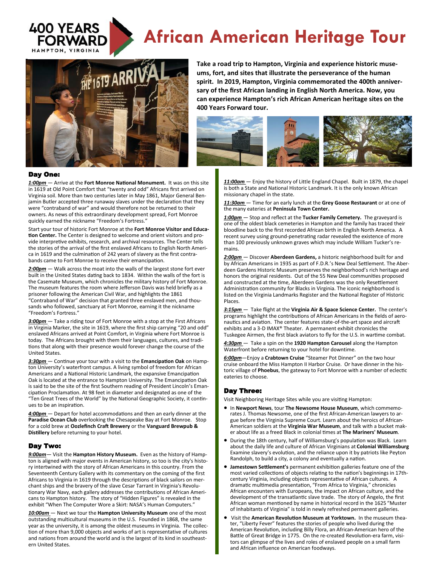

# **African American Heritage Tour**



**Take a road trip to Hampton, Virginia and experience historic museums, fort, and sites that illustrate the perseverance of the human spirit. In 2019, Hampton, Virginia commemorated the 400th anniversary of the first African landing in English North America. Now, you can experience Hampton's rich African American heritage sites on the 400 Years Forward tour.** 



#### Day One:

*1:00pm* — Arrive at the **[Fort Monroe National Monument.](https://fortmonroe.org/)** It was on this site in 1619 at Old Point Comfort that "twenty and odd" Africans first arrived on Virginia soil. More than two centuries later in May 1861, Major General Benjamin Butler accepted three runaway slaves under the declaration that they were "contraband of war" and would therefore not be returned to their owners. As news of this extraordinary development spread, Fort Monroe quickly earned the nickname "Freedom's Fortress."

Start your tour of historic Fort Monroe at the **Fort Monroe Visitor and Education Center.** The Center is designed to welcome and orient visitors and provide interpretive exhibits, research, and archival resources. The Center tells the stories of the arrival of the first enslaved Africans to English North America in 1619 and the culmination of 242 years of slavery as the first contrabands came to Fort Monroe to receive their emancipation.

*2:00pm* — Walk across the moat into the walls of the largest stone fort ever built in the United States dating back to 1834. Within the walls of the fort is the Casemate Museum, which chronicles the military history of Fort Monroe. The museum features the room where Jefferson Davis was held briefly as a prisoner following the American Civil War, and highlights the 1861 "Contraband of War" decision that granted three enslaved men, and thousands who followed, sanctuary at Fort Monroe, earning it the nickname "Freedom's Fortress."

3:00pm - Take a riding tour of Fort Monroe with a stop at the First Africans in Virginia Marker, the site in 1619, where the first ship carrying "20 and odd" enslaved Africans arrived at Point Comfort, in Virginia where Fort Monroe is today. The Africans brought with them their languages, cultures, and traditions that along with their presence would forever change the course of the United States.

*3:30pm* — Continue your tour with a visit to the **[Emancipation Oak](http://www.hamptonu.edu/about/emancipation_oak.cfm)** on Hampton University's waterfront campus. A living symbol of freedom for African Americans and a National Historic Landmark, the expansive Emancipation Oak is located at the entrance to Hampton University. The Emancipation Oak is said to be the site of the first Southern reading of President Lincoln's Emancipation Proclamation. At 98 feet in diameter and designated as one of the "Ten Great Trees of the World" by the National Geographic Society, it continues to be an inspiration.

*4:00pm* — Depart for hotel accommodations and then an early dinner at the **Paradise Ocean Club** overlooking the Chesapeake Bay at Fort Monroe. Stop for a cold brew at **Oozlefinch Craft Brewery** or the **Vanguard Brewpub & Distillery** before returning to your hotel.

#### Day Two:

*9:00am*— Visit the **Hampton History Museum.** Even as the history of Hampton is aligned with major events in American history, so too is the city's history intertwined with the story of African Americans in this country. From the Seventeenth Century Gallery with its commentary on the coming of the first Africans to Virginia in 1619 through the descriptions of black sailors on merchant ships and the bravery of the slave Cesar Tarrant in Virginia's Revolutionary War Navy, each gallery addresses the contributions of African Americans to Hampton history. The story of "Hidden Figures" is revealed in the exhibit "When The Computer Wore a Skirt: NASA's Human Computers."

*10:00am* — Next we tour the **Hampton University Museum** one of the most outstanding multicultural museums in the U.S. Founded in 1868, the same year as the university, it is among the oldest museums in Virginia. The collection of more than 9,000 objects and works of art is representative of cultures and nations from around the world and is the largest of its kind in southeastern United States.

*11:00am* — Enjoy the history of Little England Chapel. Built in 1879, the chapel is both a State and National Historic Landmark. It is the only known African missionary chapel in the state.

*11:30am* — Time for an early lunch at the **Grey Goose Restaurant** or at one of the many eateries at **Peninsula Town Center.** 

*1:00pm* — Stop and reflect at the **Tucker Family Cemetery.** The graveyard is one of the oldest black cemeteries in Hampton and the family has traced their bloodline back to the first recorded African birth in English North America. A recent survey using ground-penetrating radar revealed the existence of more than 100 previously unknown graves which may include William Tucker's remains.

*2:00pm* — Discover **[Aberdeen Gardens,](https://www.visithampton.com/attraction/aberdeen-gardens-historic-museum/)** a historic neighborhood built for and by African Americans in 1935 as part of F.D.R.'s New Deal Settlement. The Aberdeen Gardens Historic Museum preserves the neighborhood's rich heritage and honors the original residents. Out of the 55 New Deal communities proposed and constructed at the time, Aberdeen Gardens was the only Resettlement Administration community for Blacks in Virginia. The iconic neighborhood is listed on the Virginia Landmarks Register and the National Register of Historic Places.

*3:15pm* — Take flight at the **Virginia Air & Space Science Center.** The center's programs highlight the contributions of African Americans in the fields of aeronautics and aviation. The center features state-of-the-art space and aircraft exhibits and a 3-D IMAX® Theater. A permanent exhibit chronicles the Tuskegee Airmen, the first black aviators to fly for the U.S. in wartime combat.

*4:30pm* — Take a spin on the **1920 Hampton Carousel** along the Hampton Waterfront before returning to your hotel for downtime.

*6:00pm*—Enjoy a **Crabtown Cruise** "Steamer Pot Dinner" on the two hour cruise onboard the Miss Hampton II Harbor Cruise. Or have dinner in the historic village of **Phoebus**, the gateway to Fort Monroe with a number of eclectic eateries to choose.

#### Day Three:

Visit Neighboring Heritage Sites while you are visiting Hampton:

- In **[Newport News](https://www.virginia.org/cities/NewportNews)**, tour **[The Newsome House Museum](https://www.virginia.org/Listings/Museums/TheNewsomeHouseMuseumCulturalCenter/)**, which commemorates J. Thomas Newsome, one of the first African-American lawyers to argue before the Virginia Supreme Court. Learn about the heroics of African-American soldiers at the **[Virginia War Museum](https://www.virginia.org/Listings/HistoricSites/VirginiaWarMuseum/)**, and talk with a bucket maker about life as a freed Black in colonial times at **The [Mariners' Museum](https://www.virginia.org/Listings/OutdoorsAndSports/TheMarinersMuseumandPark/)**.
- During the 18th century, half of Williamsburg's population was Black. Learn about the daily life and culture of African Virginians at **Colonial Williamsburg**  Examine slavery's evolution, and the reliance upon it by patriots like Peyton Randolph, to build a city, a colony and eventually a nation.
- **Jamestown Settlement's** permanent exhibition galleries feature one of the most varied collections of objects relating to the nation's beginnings in 17thcentury Virginia, including objects representative of African cultures. A dramatic multimedia presentation, "From Africa to Virginia," chronicles African encounters with Europeans, the impact on African culture, and the development of the transatlantic slave trade. The story of Angelo, the first African woman mentioned by name in historical record in the 1625 "Muster of Inhabitants of Virginia" is told in newly refreshed permanent galleries.
- Visit the **American Revolution Museum at Yorktown.** In the museum theater, "Liberty Fever" features the stories of people who lived during the American Revolution, including Billy Flora, an African-American hero of the Battle of Great Bridge in 1775. On the re-created Revolution-era farm, visitors can glimpse of the lives and roles of enslaved people on a small farm and African influence on American foodways.